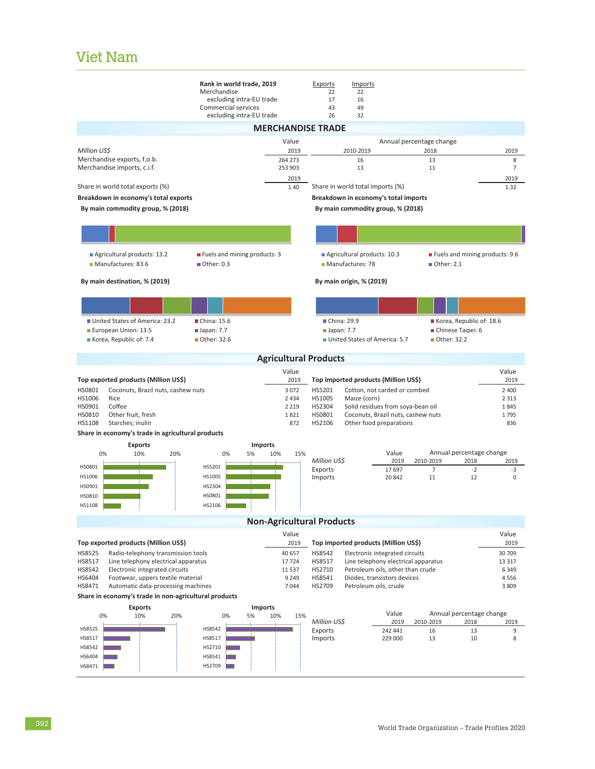## Viet Nam

|                                                                                             | Rank in world trade, 2019                       |                                  | Exports                   | <b>Imports</b>                                       |               |                             |                                |                    |  |
|---------------------------------------------------------------------------------------------|-------------------------------------------------|----------------------------------|---------------------------|------------------------------------------------------|---------------|-----------------------------|--------------------------------|--------------------|--|
|                                                                                             | Merchandise                                     |                                  | 22                        | 22                                                   |               |                             |                                |                    |  |
|                                                                                             | excluding intra-EU trade<br>Commercial services |                                  | 17<br>43                  | 16<br>49                                             |               |                             |                                |                    |  |
|                                                                                             | excluding intra-EU trade                        |                                  | 26                        | 32                                                   |               |                             |                                |                    |  |
|                                                                                             |                                                 | <b>MERCHANDISE TRADE</b>         |                           |                                                      |               |                             |                                |                    |  |
|                                                                                             |                                                 | Value                            |                           |                                                      |               | Annual percentage change    |                                |                    |  |
| Million US\$                                                                                |                                                 | 2019                             |                           | 2010-2019                                            |               | 2018                        |                                | 2019               |  |
| Merchandise exports, f.o.b.                                                                 |                                                 | 264 273                          |                           | 16                                                   |               | 13                          |                                | 8                  |  |
| Merchandise imports, c.i.f.                                                                 |                                                 | 253 903                          |                           | 13                                                   |               | 11                          |                                | $\overline{7}$     |  |
|                                                                                             |                                                 | 2019                             |                           |                                                      |               |                             |                                | 2019               |  |
| Share in world total exports (%)                                                            |                                                 | 1.40                             |                           | Share in world total imports (%)                     |               |                             |                                | 1.32               |  |
| Breakdown in economy's total exports                                                        |                                                 |                                  |                           | Breakdown in economy's total imports                 |               |                             |                                |                    |  |
| By main commodity group, % (2018)                                                           | By main commodity group, % (2018)               |                                  |                           |                                                      |               |                             |                                |                    |  |
|                                                                                             |                                                 |                                  |                           |                                                      |               |                             |                                |                    |  |
|                                                                                             |                                                 |                                  |                           |                                                      |               |                             |                                |                    |  |
| Agricultural products: 13.2                                                                 | Fuels and mining products: 3                    |                                  |                           | Agricultural products: 10.3                          |               |                             | Fuels and mining products: 9.6 |                    |  |
| Manufactures: 83.6                                                                          | Other: 0.3                                      |                                  |                           | Manufactures: 78                                     |               | ■ Other: 2.1                |                                |                    |  |
| By main destination, % (2019)                                                               |                                                 |                                  |                           | By main origin, % (2019)                             |               |                             |                                |                    |  |
|                                                                                             |                                                 |                                  |                           |                                                      |               |                             |                                |                    |  |
|                                                                                             |                                                 |                                  |                           |                                                      |               |                             |                                |                    |  |
| United States of America: 23.2                                                              | China: 15.6                                     |                                  |                           | ■ China: 29.9                                        |               |                             | Korea, Republic of: 18.6       |                    |  |
| European Union: 13.5                                                                        | $\blacksquare$ Japan: 7.7                       |                                  | $\blacksquare$ Japan: 7.7 |                                                      |               | Chinese Taipei: 6           |                                |                    |  |
| Korea, Republic of: 7.4                                                                     | Other: 32.6                                     |                                  |                           | United States of America: 5.7                        |               | ■ Other: 32.2               |                                |                    |  |
|                                                                                             |                                                 |                                  |                           |                                                      |               |                             |                                |                    |  |
|                                                                                             |                                                 | <b>Agricultural Products</b>     |                           |                                                      |               |                             |                                |                    |  |
|                                                                                             |                                                 | Value                            |                           |                                                      |               |                             |                                | Value              |  |
| Top exported products (Million US\$)                                                        |                                                 | 2019                             |                           | Top imported products (Million US\$)                 |               |                             |                                | 2019               |  |
| HS0801<br>Coconuts, Brazil nuts, cashew nuts<br>HS1006<br>Rice                              |                                                 | 3 0 7 2<br>2 4 3 4               | HS5201<br>HS1005          | Cotton, not carded or combed<br>Maize (corn)         |               |                             |                                | 2 4 0 0<br>2 3 1 3 |  |
| HS0901<br>Coffee                                                                            |                                                 | 2 2 1 9                          | HS2304                    | Solid residues from soya-bean oil                    |               |                             |                                | 1845               |  |
| HS0810<br>Other fruit, fresh                                                                |                                                 | 1821                             | HS0801                    | Coconuts, Brazil nuts, cashew nuts                   |               |                             |                                | 1795               |  |
| HS1108<br>Starches; inulin                                                                  |                                                 | 872                              | HS2106                    | Other food preparations                              |               |                             |                                | 836                |  |
| Share in economy's trade in agricultural products                                           |                                                 |                                  |                           |                                                      |               |                             |                                |                    |  |
| <b>Exports</b>                                                                              | <b>Imports</b>                                  |                                  |                           |                                                      |               |                             |                                |                    |  |
| 0%<br>10%<br>20%                                                                            | 0%<br>5%                                        | 10%<br>15%                       |                           |                                                      | Value         | Annual percentage change    |                                |                    |  |
| HS0801                                                                                      | HS5201                                          |                                  | Million US\$<br>Exports   |                                                      | 2019<br>17697 | 2010-2019<br>$\overline{7}$ | 2018<br>$-2$                   | 2019<br>-3         |  |
| HS1006                                                                                      | HS1005                                          |                                  | Imports                   |                                                      | 20842         | 11                          | 12                             | $\mathbf 0$        |  |
| HS0901                                                                                      | HS2304                                          |                                  |                           |                                                      |               |                             |                                |                    |  |
| HS0810                                                                                      | HS0801                                          |                                  |                           |                                                      |               |                             |                                |                    |  |
| HS1108                                                                                      | HS2106                                          |                                  |                           |                                                      |               |                             |                                |                    |  |
|                                                                                             |                                                 | <b>Non-Agricultural Products</b> |                           |                                                      |               |                             |                                |                    |  |
|                                                                                             |                                                 | Value                            |                           |                                                      |               |                             |                                | Value              |  |
| Top exported products (Million US\$)                                                        |                                                 | 2019                             |                           | Top imported products (Million US\$)                 |               |                             |                                | 2019               |  |
| HS8525<br>Radio-telephony transmission tools                                                |                                                 | 40 657                           | HS8542                    | Electronic integrated circuits                       |               |                             |                                | 30 709             |  |
| HS8517<br>Line telephony electrical apparatus                                               |                                                 | 17724                            | HS8517                    | Line telephony electrical apparatus                  |               |                             |                                | 13 317             |  |
| HS8542<br>Electronic integrated circuits<br>11 5 37                                         |                                                 |                                  | HS2710                    | Petroleum oils, other than crude                     |               |                             |                                | 6 3 4 9            |  |
| HS6404<br>Footwear, uppers textile material<br>HS8471<br>Automatic data-processing machines |                                                 | 9 2 4 9<br>7044                  | HS8541<br>HS2709          | Diodes, transistors devices<br>Petroleum oils, crude |               |                             |                                | 4556<br>3 8 0 9    |  |
| Share in economy's trade in non-agricultural products                                       |                                                 |                                  |                           |                                                      |               |                             |                                |                    |  |
| <b>Exports</b>                                                                              | Imports                                         |                                  |                           |                                                      |               |                             |                                |                    |  |
| 10%<br>20%<br>0%                                                                            | 0%<br>5%                                        | 10%<br>15%                       |                           |                                                      | Value         |                             | Annual percentage change       |                    |  |
|                                                                                             |                                                 |                                  | Million US\$              |                                                      | 2019          | 2010-2019                   | 2018                           | 2019               |  |
| HS8525<br>HS8517                                                                            | HS8542<br>HS8517                                |                                  | Exports                   |                                                      | 242 441       | 16                          | 13<br>10                       | 9<br>8             |  |
| HS8542                                                                                      | HS2710                                          |                                  | Imports                   |                                                      | 229 000       | 13                          |                                |                    |  |
| HS6404                                                                                      | HS8541                                          |                                  |                           |                                                      |               |                             |                                |                    |  |
| HS8471                                                                                      | HS2709                                          |                                  |                           |                                                      |               |                             |                                |                    |  |
|                                                                                             |                                                 |                                  |                           |                                                      |               |                             |                                |                    |  |

**Viet Nam**